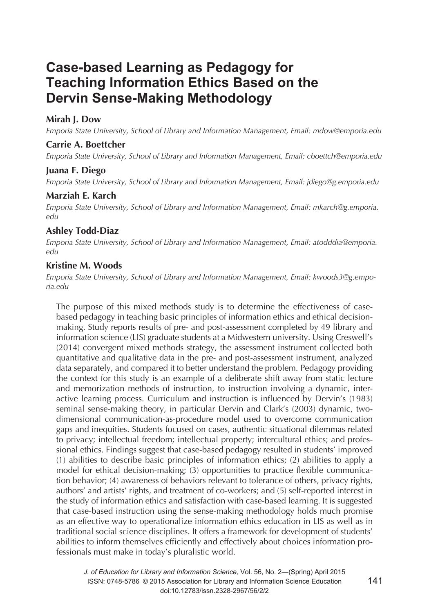# **Case-based Learning as Pedagogy for Teaching Information Ethics Based on the Dervin Sense-Making Methodology**

# **Mirah J. Dow**

*Emporia State University, School of Library and Information Management, Email: mdow@emporia.edu* 

# **Carrie A. Boettcher**

*Emporia State University, School of Library and Information Management, Email: cboettch@emporia.edu*

### **Juana F. Diego**

*Emporia State University, School of Library and Information Management, Email: jdiego@g.emporia.edu*

### **Marziah E. Karch**

*Emporia State University, School of Library and Information Management, Email: mkarch@g.emporia. edu* 

# **Ashley Todd-Diaz**

*Emporia State University, School of Library and Information Management, Email: atodddia@emporia. edu* 

# **Kristine M. Woods**

*Emporia State University, School of Library and Information Management, Email: kwoods3@g.emporia.edu*

The purpose of this mixed methods study is to determine the effectiveness of casebased pedagogy in teaching basic principles of information ethics and ethical decisionmaking. Study reports results of pre- and post-assessment completed by 49 library and information science (LIS) graduate students at a Midwestern university. Using Creswell's (2014) convergent mixed methods strategy, the assessment instrument collected both quantitative and qualitative data in the pre- and post-assessment instrument, analyzed data separately, and compared it to better understand the problem. Pedagogy providing the context for this study is an example of a deliberate shift away from static lecture and memorization methods of instruction, to instruction involving a dynamic, interactive learning process. Curriculum and instruction is influenced by Dervin's (1983) seminal sense-making theory, in particular Dervin and Clark's (2003) dynamic, twodimensional communication-as-procedure model used to overcome communication gaps and inequities. Students focused on cases, authentic situational dilemmas related to privacy; intellectual freedom; intellectual property; intercultural ethics; and professional ethics. Findings suggest that case-based pedagogy resulted in students' improved (1) abilities to describe basic principles of information ethics; (2) abilities to apply a model for ethical decision-making; (3) opportunities to practice flexible communication behavior; (4) awareness of behaviors relevant to tolerance of others, privacy rights, authors' and artists' rights, and treatment of co-workers; and (5) self-reported interest in the study of information ethics and satisfaction with case-based learning. It is suggested that case-based instruction using the sense-making methodology holds much promise as an effective way to operationalize information ethics education in LIS as well as in traditional social science disciplines. It offers a framework for development of students' abilities to inform themselves efficiently and effectively about choices information professionals must make in today's pluralistic world.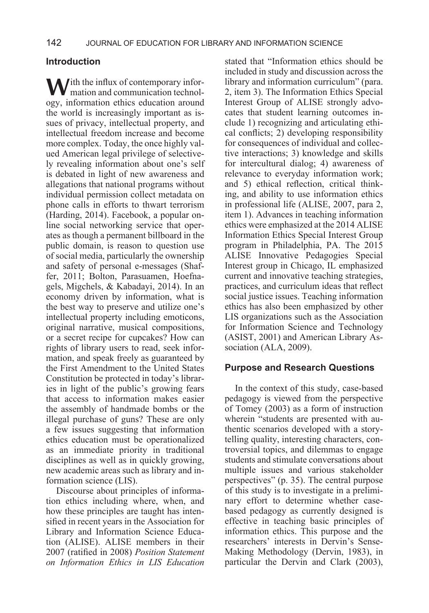# **Introduction**

With the influx of contemporary infor-<br>
mation and communication technology, information ethics education around the world is increasingly important as issues of privacy, intellectual property, and intellectual freedom increase and become more complex. Today, the once highly valued American legal privilege of selectively revealing information about one's self is debated in light of new awareness and allegations that national programs without individual permission collect metadata on phone calls in efforts to thwart terrorism (Harding, 2014). Facebook, a popular online social networking service that operates as though a permanent billboard in the public domain, is reason to question use of social media, particularly the ownership and safety of personal e-messages (Shaffer, 2011; Bolton, Parasuamen, Hoefnagels, Migchels, & Kabadayi, 2014). In an economy driven by information, what is the best way to preserve and utilize one's intellectual property including emoticons, original narrative, musical compositions, or a secret recipe for cupcakes? How can rights of library users to read, seek information, and speak freely as guaranteed by the First Amendment to the United States Constitution be protected in today's libraries in light of the public's growing fears that access to information makes easier the assembly of handmade bombs or the illegal purchase of guns? These are only a few issues suggesting that information ethics education must be operationalized as an immediate priority in traditional disciplines as well as in quickly growing, new academic areas such as library and information science (LIS).

Discourse about principles of information ethics including where, when, and how these principles are taught has intensified in recent years in the Association for Library and Information Science Education (ALISE). ALISE members in their 2007 (ratified in 2008) *Position Statement on Information Ethics in LIS Education*

stated that "Information ethics should be included in study and discussion across the library and information curriculum" (para. 2, item 3). The Information Ethics Special Interest Group of ALISE strongly advocates that student learning outcomes include 1) recognizing and articulating ethical conflicts; 2) developing responsibility for consequences of individual and collective interactions; 3) knowledge and skills for intercultural dialog; 4) awareness of relevance to everyday information work; and 5) ethical reflection, critical thinking, and ability to use information ethics in professional life (ALISE, 2007, para 2, item 1). Advances in teaching information ethics were emphasized at the 2014 ALISE Information Ethics Special Interest Group program in Philadelphia, PA. The 2015 ALISE Innovative Pedagogies Special Interest group in Chicago, IL emphasized current and innovative teaching strategies, practices, and curriculum ideas that reflect social justice issues. Teaching information ethics has also been emphasized by other LIS organizations such as the Association for Information Science and Technology (ASIST, 2001) and American Library Association (ALA, 2009).

### **Purpose and Research Questions**

In the context of this study, case-based pedagogy is viewed from the perspective of Tomey (2003) as a form of instruction wherein "students are presented with authentic scenarios developed with a storytelling quality, interesting characters, controversial topics, and dilemmas to engage students and stimulate conversations about multiple issues and various stakeholder perspectives" (p. 35). The central purpose of this study is to investigate in a preliminary effort to determine whether casebased pedagogy as currently designed is effective in teaching basic principles of information ethics. This purpose and the researchers' interests in Dervin's Sense-Making Methodology (Dervin, 1983), in particular the Dervin and Clark (2003),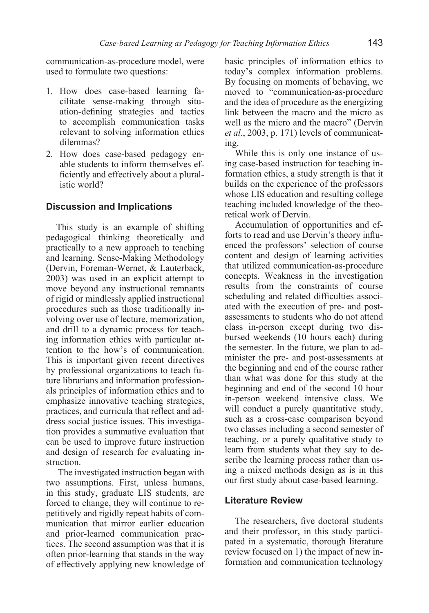communication-as-procedure model, were used to formulate two questions:

- 1. How does case-based learning facilitate sense-making through situation-defining strategies and tactics to accomplish communication tasks relevant to solving information ethics dilemmas?
- 2. How does case-based pedagogy enable students to inform themselves efficiently and effectively about a pluralistic world?

### **Discussion and Implications**

This study is an example of shifting pedagogical thinking theoretically and practically to a new approach to teaching and learning. Sense-Making Methodology (Dervin, Foreman-Wernet, & Lauterback, 2003) was used in an explicit attempt to move beyond any instructional remnants of rigid or mindlessly applied instructional procedures such as those traditionally involving over use of lecture, memorization, and drill to a dynamic process for teaching information ethics with particular attention to the how's of communication. This is important given recent directives by professional organizations to teach future librarians and information professionals principles of information ethics and to emphasize innovative teaching strategies, practices, and curricula that reflect and address social justice issues. This investigation provides a summative evaluation that can be used to improve future instruction and design of research for evaluating instruction.

 The investigated instruction began with two assumptions. First, unless humans, in this study, graduate LIS students, are forced to change, they will continue to repetitively and rigidly repeat habits of communication that mirror earlier education and prior-learned communication practices. The second assumption was that it is often prior-learning that stands in the way of effectively applying new knowledge of basic principles of information ethics to today's complex information problems. By focusing on moments of behaving, we moved to "communication-as-procedure and the idea of procedure as the energizing link between the macro and the micro as well as the micro and the macro" (Dervin *et al.*, 2003, p. 171) levels of communicating.

While this is only one instance of using case-based instruction for teaching information ethics, a study strength is that it builds on the experience of the professors whose LIS education and resulting college teaching included knowledge of the theoretical work of Dervin.

Accumulation of opportunities and efforts to read and use Dervin's theory influenced the professors' selection of course content and design of learning activities that utilized communication-as-procedure concepts. Weakness in the investigation results from the constraints of course scheduling and related difficulties associated with the execution of pre- and postassessments to students who do not attend class in-person except during two disbursed weekends (10 hours each) during the semester. In the future, we plan to administer the pre- and post-assessments at the beginning and end of the course rather than what was done for this study at the beginning and end of the second 10 hour in-person weekend intensive class. We will conduct a purely quantitative study, such as a cross-case comparison beyond two classes including a second semester of teaching, or a purely qualitative study to learn from students what they say to describe the learning process rather than using a mixed methods design as is in this our first study about case-based learning.

### **Literature Review**

The researchers, five doctoral students and their professor, in this study participated in a systematic, thorough literature review focused on 1) the impact of new information and communication technology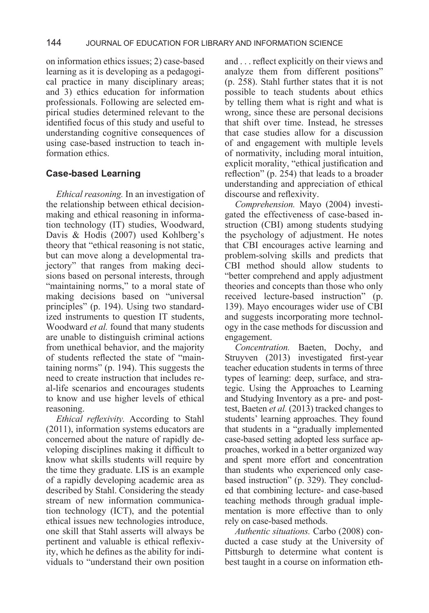on information ethics issues; 2) case-based learning as it is developing as a pedagogical practice in many disciplinary areas; and 3) ethics education for information professionals. Following are selected empirical studies determined relevant to the identified focus of this study and useful to understanding cognitive consequences of using case-based instruction to teach information ethics.

# **Case-based Learning**

*Ethical reasoning.* In an investigation of the relationship between ethical decisionmaking and ethical reasoning in information technology (IT) studies, Woodward, Davis & Hodis (2007) used Kohlberg's theory that "ethical reasoning is not static, but can move along a developmental trajectory" that ranges from making decisions based on personal interests, through "maintaining norms," to a moral state of making decisions based on "universal principles" (p. 194). Using two standardized instruments to question IT students, Woodward *et al.* found that many students are unable to distinguish criminal actions from unethical behavior, and the majority of students reflected the state of "maintaining norms" (p. 194). This suggests the need to create instruction that includes real-life scenarios and encourages students to know and use higher levels of ethical reasoning.

*Ethical reflexivity.* According to Stahl (2011), information systems educators are concerned about the nature of rapidly developing disciplines making it difficult to know what skills students will require by the time they graduate. LIS is an example of a rapidly developing academic area as described by Stahl. Considering the steady stream of new information communication technology (ICT), and the potential ethical issues new technologies introduce, one skill that Stahl asserts will always be pertinent and valuable is ethical reflexivity, which he defines as the ability for individuals to "understand their own position and . . . reflect explicitly on their views and analyze them from different positions" (p. 258). Stahl further states that it is not possible to teach students about ethics by telling them what is right and what is wrong, since these are personal decisions that shift over time. Instead, he stresses that case studies allow for a discussion of and engagement with multiple levels of normativity, including moral intuition, explicit morality, "ethical justification and reflection" (p. 254) that leads to a broader understanding and appreciation of ethical discourse and reflexivity.

*Comprehension.* Mayo (2004) investigated the effectiveness of case-based instruction (CBI) among students studying the psychology of adjustment. He notes that CBI encourages active learning and problem-solving skills and predicts that CBI method should allow students to "better comprehend and apply adjustment theories and concepts than those who only received lecture-based instruction" (p. 139). Mayo encourages wider use of CBI and suggests incorporating more technology in the case methods for discussion and engagement.

*Concentration.* Baeten, Dochy, and Struyven (2013) investigated first-year teacher education students in terms of three types of learning: deep, surface, and strategic. Using the Approaches to Learning and Studying Inventory as a pre- and posttest, Baeten *et al.* (2013) tracked changes to students' learning approaches. They found that students in a "gradually implemented case-based setting adopted less surface approaches, worked in a better organized way and spent more effort and concentration than students who experienced only casebased instruction" (p. 329). They concluded that combining lecture- and case-based teaching methods through gradual implementation is more effective than to only rely on case-based methods.

*Authentic situations.* Carbo (2008) conducted a case study at the University of Pittsburgh to determine what content is best taught in a course on information eth-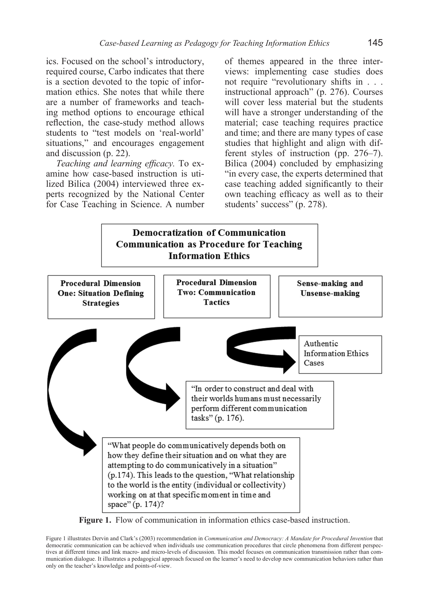ics. Focused on the school's introductory, required course, Carbo indicates that there is a section devoted to the topic of information ethics. She notes that while there are a number of frameworks and teaching method options to encourage ethical reflection, the case-study method allows students to "test models on 'real-world' situations," and encourages engagement and discussion (p. 22).

*Teaching and learning efficacy.* To examine how case-based instruction is utilized Bilica (2004) interviewed three experts recognized by the National Center for Case Teaching in Science. A number of themes appeared in the three interviews: implementing case studies does not require "revolutionary shifts in . . . instructional approach" (p. 276). Courses will cover less material but the students will have a stronger understanding of the material; case teaching requires practice and time; and there are many types of case studies that highlight and align with different styles of instruction (pp. 276–7). Bilica (2004) concluded by emphasizing "in every case, the experts determined that case teaching added significantly to their own teaching efficacy as well as to their students' success" (p. 278).



**Figure 1.** Flow of communication in information ethics case-based instruction.

Figure 1 illustrates Dervin and Clark's (2003) recommendation in *Communication and Democracy: A Mandate for Procedural Invention* that democratic communication can be achieved when individuals use communication procedures that circle phenomena from different perspectives at different times and link macro- and micro-levels of discussion. This model focuses on communication transmission rather than communication dialogue. It illustrates a pedagogical approach focused on the learner's need to develop new communication behaviors rather than only on the teacher's knowledge and points-of-view.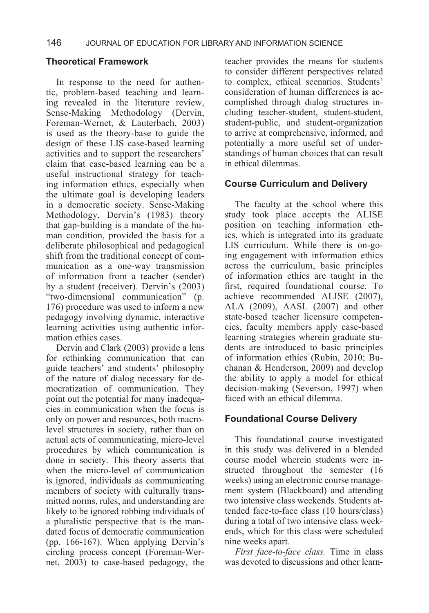# **Theoretical Framework**

In response to the need for authentic, problem-based teaching and learning revealed in the literature review, Sense-Making Methodology (Dervin, Foreman-Wernet, & Lauterbach, 2003) is used as the theory-base to guide the design of these LIS case-based learning activities and to support the researchers' claim that case-based learning can be a useful instructional strategy for teaching information ethics, especially when the ultimate goal is developing leaders in a democratic society. Sense-Making Methodology, Dervin's (1983) theory that gap-building is a mandate of the human condition, provided the basis for a deliberate philosophical and pedagogical shift from the traditional concept of communication as a one-way transmission of information from a teacher (sender) by a student (receiver). Dervin's (2003) "two-dimensional communication" (p. 176) procedure was used to inform a new pedagogy involving dynamic, interactive learning activities using authentic information ethics cases.

Dervin and Clark (2003) provide a lens for rethinking communication that can guide teachers' and students' philosophy of the nature of dialog necessary for democratization of communication. They point out the potential for many inadequacies in communication when the focus is only on power and resources, both macrolevel structures in society, rather than on actual acts of communicating, micro-level procedures by which communication is done in society. This theory asserts that when the micro-level of communication is ignored, individuals as communicating members of society with culturally transmitted norms, rules, and understanding are likely to be ignored robbing individuals of a pluralistic perspective that is the mandated focus of democratic communication (pp. 166-167). When applying Dervin's circling process concept (Foreman-Wernet, 2003) to case-based pedagogy, the

teacher provides the means for students to consider different perspectives related to complex, ethical scenarios. Students' consideration of human differences is accomplished through dialog structures including teacher-student, student-student, student-public, and student-organization to arrive at comprehensive, informed, and potentially a more useful set of understandings of human choices that can result in ethical dilemmas.

### **Course Curriculum and Delivery**

The faculty at the school where this study took place accepts the ALISE position on teaching information ethics, which is integrated into its graduate LIS curriculum. While there is on-going engagement with information ethics across the curriculum, basic principles of information ethics are taught in the first, required foundational course. To achieve recommended ALISE (2007), ALA (2009), AASL (2007) and other state-based teacher licensure competencies, faculty members apply case-based learning strategies wherein graduate students are introduced to basic principles of information ethics (Rubin, 2010; Buchanan & Henderson, 2009) and develop the ability to apply a model for ethical decision-making (Severson, 1997) when faced with an ethical dilemma.

# **Foundational Course Delivery**

This foundational course investigated in this study was delivered in a blended course model wherein students were instructed throughout the semester (16 weeks) using an electronic course management system (Blackboard) and attending two intensive class weekends. Students attended face-to-face class (10 hours/class) during a total of two intensive class weekends, which for this class were scheduled nine weeks apart.

*First face-to-face class.* Time in class was devoted to discussions and other learn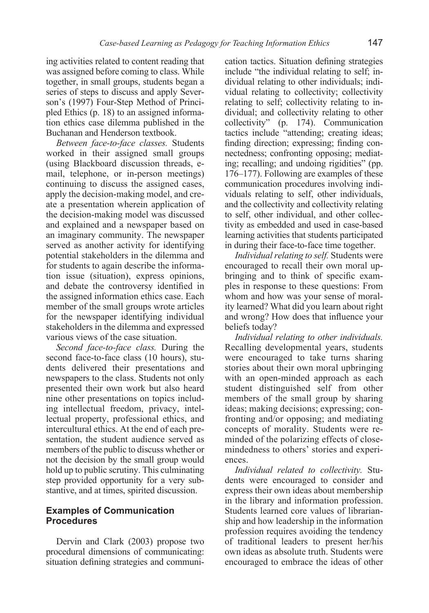ing activities related to content reading that was assigned before coming to class. While together, in small groups, students began a series of steps to discuss and apply Severson's (1997) Four-Step Method of Principled Ethics (p. 18) to an assigned information ethics case dilemma published in the Buchanan and Henderson textbook.

*Between face-to-face classes.* Students worked in their assigned small groups (using Blackboard discussion threads, email, telephone, or in-person meetings) continuing to discuss the assigned cases, apply the decision-making model, and create a presentation wherein application of the decision-making model was discussed and explained and a newspaper based on an imaginary community. The newspaper served as another activity for identifying potential stakeholders in the dilemma and for students to again describe the information issue (situation), express opinions, and debate the controversy identified in the assigned information ethics case. Each member of the small groups wrote articles for the newspaper identifying individual stakeholders in the dilemma and expressed various views of the case situation.

*Second face-to-face class.* During the second face-to-face class (10 hours), students delivered their presentations and newspapers to the class. Students not only presented their own work but also heard nine other presentations on topics including intellectual freedom, privacy, intellectual property, professional ethics, and intercultural ethics. At the end of each presentation, the student audience served as members of the public to discuss whether or not the decision by the small group would hold up to public scrutiny. This culminating step provided opportunity for a very substantive, and at times, spirited discussion.

### **Examples of Communication Procedures**

Dervin and Clark (2003) propose two procedural dimensions of communicating: situation defining strategies and communication tactics. Situation defining strategies include "the individual relating to self; individual relating to other individuals; individual relating to collectivity; collectivity relating to self; collectivity relating to individual; and collectivity relating to other collectivity" (p. 174). Communication tactics include "attending; creating ideas; finding direction; expressing; finding connectedness; confronting opposing; mediating; recalling; and undoing rigidities" (pp. 176–177). Following are examples of these communication procedures involving individuals relating to self, other individuals, and the collectivity and collectivity relating to self, other individual, and other collectivity as embedded and used in case-based learning activities that students participated in during their face-to-face time together.

*Individual relating to self.* Students were encouraged to recall their own moral upbringing and to think of specific examples in response to these questions: From whom and how was your sense of morality learned? What did you learn about right and wrong? How does that influence your beliefs today?

*Individual relating to other individuals.*  Recalling developmental years, students were encouraged to take turns sharing stories about their own moral upbringing with an open-minded approach as each student distinguished self from other members of the small group by sharing ideas; making decisions; expressing; confronting and/or opposing; and mediating concepts of morality. Students were reminded of the polarizing effects of closemindedness to others' stories and experiences.

*Individual related to collectivity.* Students were encouraged to consider and express their own ideas about membership in the library and information profession. Students learned core values of librarianship and how leadership in the information profession requires avoiding the tendency of traditional leaders to present her/his own ideas as absolute truth. Students were encouraged to embrace the ideas of other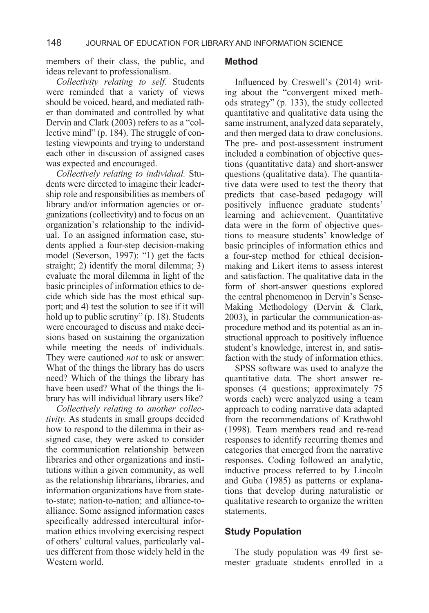members of their class, the public, and ideas relevant to professionalism.

*Collectivity relating to self.* Students were reminded that a variety of views should be voiced, heard, and mediated rather than dominated and controlled by what Dervin and Clark (2003) refers to as a "collective mind" (p. 184). The struggle of contesting viewpoints and trying to understand each other in discussion of assigned cases was expected and encouraged.

*Collectively relating to individual.* Students were directed to imagine their leadership role and responsibilities as members of library and/or information agencies or organizations (collectivity) and to focus on an organization's relationship to the individual. To an assigned information case, students applied a four-step decision-making model (Severson, 1997): "1) get the facts straight; 2) identify the moral dilemma; 3) evaluate the moral dilemma in light of the basic principles of information ethics to decide which side has the most ethical support; and 4) test the solution to see if it will hold up to public scrutiny" (p. 18). Students were encouraged to discuss and make decisions based on sustaining the organization while meeting the needs of individuals. They were cautioned *not* to ask or answer: What of the things the library has do users need? Which of the things the library has have been used? What of the things the library has will individual library users like?

*Collectively relating to another collectivity.* As students in small groups decided how to respond to the dilemma in their assigned case, they were asked to consider the communication relationship between libraries and other organizations and institutions within a given community, as well as the relationship librarians, libraries, and information organizations have from stateto-state; nation-to-nation; and alliance-toalliance. Some assigned information cases specifically addressed intercultural information ethics involving exercising respect of others' cultural values, particularly values different from those widely held in the Western world.

#### **Method**

Influenced by Creswell's (2014) writing about the "convergent mixed methods strategy" (p. 133), the study collected quantitative and qualitative data using the same instrument, analyzed data separately, and then merged data to draw conclusions. The pre- and post-assessment instrument included a combination of objective questions (quantitative data) and short-answer questions (qualitative data). The quantitative data were used to test the theory that predicts that case-based pedagogy will positively influence graduate students' learning and achievement. Quantitative data were in the form of objective questions to measure students' knowledge of basic principles of information ethics and a four-step method for ethical decisionmaking and Likert items to assess interest and satisfaction. The qualitative data in the form of short-answer questions explored the central phenomenon in Dervin's Sense-Making Methodology (Dervin & Clark, 2003), in particular the communication-asprocedure method and its potential as an instructional approach to positively influence student's knowledge, interest in, and satisfaction with the study of information ethics.

SPSS software was used to analyze the quantitative data. The short answer responses (4 questions; approximately 75 words each) were analyzed using a team approach to coding narrative data adapted from the recommendations of Krathwohl (1998). Team members read and re-read responses to identify recurring themes and categories that emerged from the narrative responses. Coding followed an analytic, inductive process referred to by Lincoln and Guba (1985) as patterns or explanations that develop during naturalistic or qualitative research to organize the written statements.

### **Study Population**

The study population was 49 first semester graduate students enrolled in a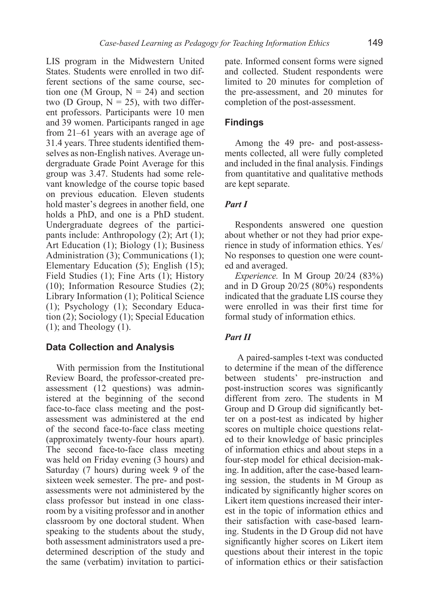LIS program in the Midwestern United States. Students were enrolled in two different sections of the same course, section one (M Group,  $N = 24$ ) and section two (D Group,  $N = 25$ ), with two different professors. Participants were 10 men and 39 women. Participants ranged in age from 21–61 years with an average age of 31.4 years. Three students identified themselves as non-English natives. Average undergraduate Grade Point Average for this group was 3.47. Students had some relevant knowledge of the course topic based on previous education. Eleven students hold master's degrees in another field, one holds a PhD, and one is a PhD student. Undergraduate degrees of the participants include: Anthropology (2); Art (1); Art Education (1); Biology (1); Business Administration (3); Communications (1); Elementary Education (5); English (15); Field Studies (1); Fine Arts (1); History (10); Information Resource Studies (2); Library Information (1); Political Science (1); Psychology (1); Secondary Education (2); Sociology (1); Special Education  $(1)$ ; and Theology  $(1)$ .

# **Data Collection and Analysis**

With permission from the Institutional Review Board, the professor-created preassessment (12 questions) was administered at the beginning of the second face-to-face class meeting and the postassessment was administered at the end of the second face-to-face class meeting (approximately twenty-four hours apart). The second face-to-face class meeting was held on Friday evening (3 hours) and Saturday (7 hours) during week 9 of the sixteen week semester. The pre- and postassessments were not administered by the class professor but instead in one classroom by a visiting professor and in another classroom by one doctoral student. When speaking to the students about the study, both assessment administrators used a predetermined description of the study and the same (verbatim) invitation to participate. Informed consent forms were signed and collected. Student respondents were limited to 20 minutes for completion of the pre-assessment, and 20 minutes for completion of the post-assessment.

# **Findings**

Among the 49 pre- and post-assessments collected, all were fully completed and included in the final analysis. Findings from quantitative and qualitative methods are kept separate.

# *Part I*

Respondents answered one question about whether or not they had prior experience in study of information ethics. Yes/ No responses to question one were counted and averaged.

*Experience.* In M Group 20/24 (83%) and in D Group 20/25 (80%) respondents indicated that the graduate LIS course they were enrolled in was their first time for formal study of information ethics.

# *Part II*

 A paired-samples t-text was conducted to determine if the mean of the difference between students' pre-instruction and post-instruction scores was significantly different from zero. The students in M Group and D Group did significantly better on a post-test as indicated by higher scores on multiple choice questions related to their knowledge of basic principles of information ethics and about steps in a four-step model for ethical decision-making. In addition, after the case-based learning session, the students in M Group as indicated by significantly higher scores on Likert item questions increased their interest in the topic of information ethics and their satisfaction with case-based learning. Students in the D Group did not have significantly higher scores on Likert item questions about their interest in the topic of information ethics or their satisfaction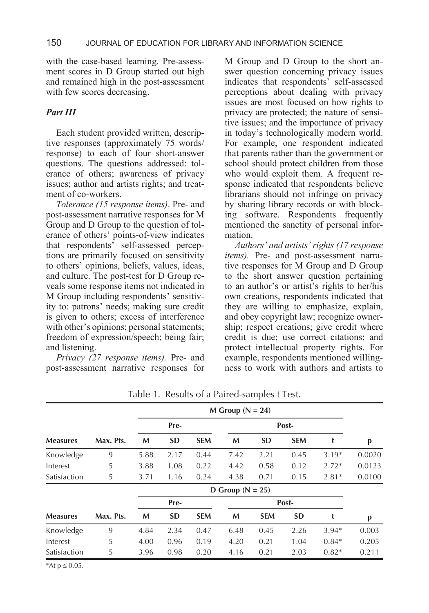with the case-based learning. Pre-assessment scores in D Group started out high and remained high in the post-assessment with few scores decreasing.

### *Part III*

Each student provided written, descriptive responses (approximately 75 words/ response) to each of four short-answer questions. The questions addressed: tolerance of others; awareness of privacy issues; author and artists rights; and treatment of co-workers.

*Tolerance (15 response items)*. Pre- and post-assessment narrative responses for M Group and D Group to the question of tolerance of others' points-of-view indicates that respondents' self-assessed perceptions are primarily focused on sensitivity to others' opinions, beliefs, values, ideas, and culture. The post-test for D Group reveals some response items not indicated in M Group including respondents' sensitivity to: patrons' needs; making sure credit is given to others; excess of interference with other's opinions; personal statements; freedom of expression/speech; being fair; and listening.

*Privacy (27 response items).* Pre- and post-assessment narrative responses for M Group and D Group to the short answer question concerning privacy issues indicates that respondents' self-assessed perceptions about dealing with privacy issues are most focused on how rights to privacy are protected; the nature of sensitive issues; and the importance of privacy in today's technologically modern world. For example, one respondent indicated that parents rather than the government or school should protect children from those who would exploit them. A frequent response indicated that respondents believe librarians should not infringe on privacy by sharing library records or with blocking software. Respondents frequently mentioned the sanctity of personal information.

*Authors' and artists' rights (17 response items).* Pre- and post-assessment narrative responses for M Group and D Group to the short answer question pertaining to an author's or artist's rights to her/his own creations, respondents indicated that they are willing to emphasize, explain, and obey copyright law; recognize ownership; respect creations; give credit where credit is due; use correct citations; and protect intellectual property rights. For example, respondents mentioned willingness to work with authors and artists to

|                 | $M$ Group ( $N = 24$ ) |                      |           |            |       |            |            |         |        |
|-----------------|------------------------|----------------------|-----------|------------|-------|------------|------------|---------|--------|
|                 |                        | Pre-                 |           |            | Post- |            |            |         |        |
| <b>Measures</b> | Max. Pts.              | M                    | <b>SD</b> | <b>SEM</b> | M     | <b>SD</b>  | <b>SEM</b> | t       | p      |
| Knowledge       | 9                      | 5.88                 | 2.17      | 0.44       | 7.42  | 2.21       | 0.45       | $3.19*$ | 0.0020 |
| Interest        | 5                      | 3.88                 | 1.08      | 0.22       | 4.42  | 0.58       | 0.12       | $2.72*$ | 0.0123 |
| Satisfaction    | 5                      | 3.71                 | 1.16      | 0.24       | 4.38  | 0.71       | 0.15       | $2.81*$ | 0.0100 |
|                 |                        | D Group ( $N = 25$ ) |           |            |       |            |            |         |        |
|                 |                        | Pre-                 |           |            | Post- |            |            |         |        |
| <b>Measures</b> | Max. Pts.              | M                    | <b>SD</b> | <b>SEM</b> | M     | <b>SEM</b> | <b>SD</b>  |         | p      |
| Knowledge       | 9                      | 4.84                 | 2.34      | 0.47       | 6.48  | 0.45       | 2.26       | $3.94*$ | 0.003  |
| Interest        | 5                      | 4.00                 | 0.96      | 0.19       | 4.20  | 0.21       | 1.04       | $0.84*$ | 0.205  |
| Satisfaction    | 5                      | 3.96                 | 0.98      | 0.20       | 4.16  | 0.21       | 2.03       | $0.82*$ | 0.211  |

Table 1. Results of a Paired-samples t Test.

\*At p ≤ 0.05.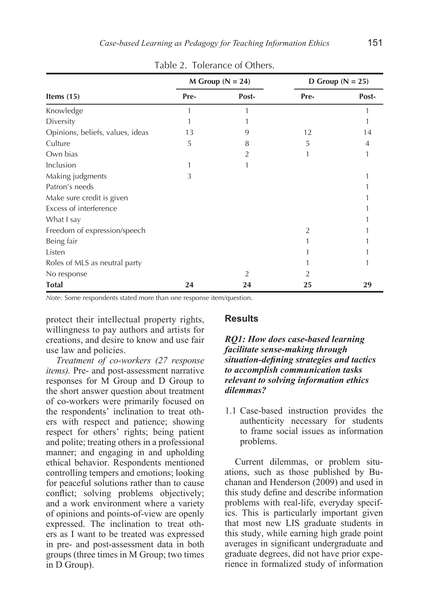|                                  |      | $M$ Group ( $N = 24$ ) | D Group ( $N = 25$ ) |       |  |
|----------------------------------|------|------------------------|----------------------|-------|--|
| Items $(15)$                     | Pre- | Post-                  | Pre-                 | Post- |  |
| Knowledge                        | 1    | 1                      |                      |       |  |
| Diversity                        |      |                        |                      |       |  |
| Opinions, beliefs, values, ideas | 13   | 9                      | 12                   | 14    |  |
| Culture                          | 5    | 8                      | 5                    | 4     |  |
| Own bias                         |      | $\overline{2}$         | 1                    |       |  |
| Inclusion                        |      |                        |                      |       |  |
| Making judgments                 | 3    |                        |                      |       |  |
| Patron's needs                   |      |                        |                      |       |  |
| Make sure credit is given        |      |                        |                      |       |  |
| Excess of interference           |      |                        |                      |       |  |
| What I say                       |      |                        |                      |       |  |
| Freedom of expression/speech     |      |                        | 2                    |       |  |
| Being fair                       |      |                        |                      |       |  |
| Listen                           |      |                        |                      |       |  |
| Roles of MLS as neutral party    |      |                        |                      |       |  |
| No response                      |      | 2                      | $\mathfrak{D}$       |       |  |
| <b>Total</b>                     | 24   | 24                     | 25                   | 29    |  |

Table 2. Tolerance of Others.

*Note:* Some respondents stated more than one response item/question.

protect their intellectual property rights, willingness to pay authors and artists for creations, and desire to know and use fair use law and policies.

*Treatment of co-workers (27 response items).* Pre- and post-assessment narrative responses for M Group and D Group to the short answer question about treatment of co-workers were primarily focused on the respondents' inclination to treat others with respect and patience; showing respect for others' rights; being patient and polite; treating others in a professional manner; and engaging in and upholding ethical behavior. Respondents mentioned controlling tempers and emotions; looking for peaceful solutions rather than to cause conflict; solving problems objectively; and a work environment where a variety of opinions and points-of-view are openly expressed. The inclination to treat others as I want to be treated was expressed in pre- and post-assessment data in both groups (three times in M Group; two times in D Group).

### **Results**

### *RQ1: How does case-based learning facilitate sense-making through situation-defining strategies and tactics to accomplish communication tasks relevant to solving information ethics dilemmas?*

1.1 Case-based instruction provides the authenticity necessary for students to frame social issues as information problems.

Current dilemmas, or problem situations, such as those published by Buchanan and Henderson (2009) and used in this study define and describe information problems with real-life, everyday specifics. This is particularly important given that most new LIS graduate students in this study, while earning high grade point averages in significant undergraduate and graduate degrees, did not have prior experience in formalized study of information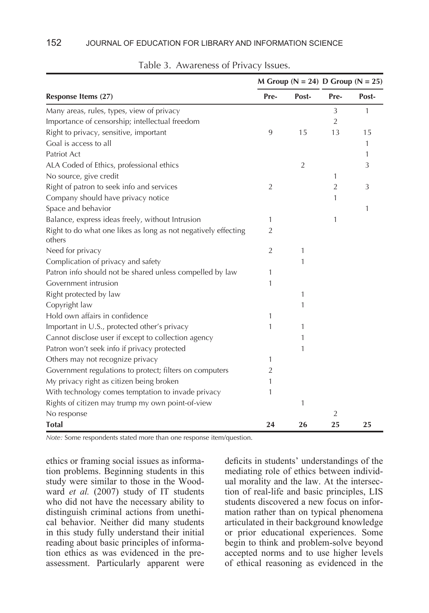|                                                                          |                |                | M Group ( $N = 24$ ) D Group ( $N = 25$ ) |       |
|--------------------------------------------------------------------------|----------------|----------------|-------------------------------------------|-------|
| Response Items (27)                                                      | Pre-           | Post-          | Pre-                                      | Post- |
| Many areas, rules, types, view of privacy                                |                |                | 3                                         | 1     |
| Importance of censorship; intellectual freedom                           |                |                | 2                                         |       |
| Right to privacy, sensitive, important                                   | 9              | 15             | 13                                        | 15    |
| Goal is access to all                                                    |                |                |                                           | 1     |
| Patriot Act                                                              |                |                |                                           | 1     |
| ALA Coded of Ethics, professional ethics                                 |                | $\overline{2}$ |                                           | 3     |
| No source, give credit                                                   |                |                | 1                                         |       |
| Right of patron to seek info and services                                | $\overline{2}$ |                | $\overline{2}$                            | 3     |
| Company should have privacy notice                                       |                |                | 1                                         |       |
| Space and behavior                                                       |                |                |                                           | 1     |
| Balance, express ideas freely, without Intrusion                         | 1              |                | 1                                         |       |
| Right to do what one likes as long as not negatively effecting<br>others | 2              |                |                                           |       |
| Need for privacy                                                         | $\overline{2}$ | $\mathbf{1}$   |                                           |       |
| Complication of privacy and safety                                       |                | 1              |                                           |       |
| Patron info should not be shared unless compelled by law                 | 1              |                |                                           |       |
| Government intrusion                                                     | 1              |                |                                           |       |
| Right protected by law                                                   |                | $\mathbf{1}$   |                                           |       |
| Copyright law                                                            |                | 1              |                                           |       |
| Hold own affairs in confidence                                           | 1              |                |                                           |       |
| Important in U.S., protected other's privacy                             | 1              | 1              |                                           |       |
| Cannot disclose user if except to collection agency                      |                | 1              |                                           |       |
| Patron won't seek info if privacy protected                              |                | 1              |                                           |       |
| Others may not recognize privacy                                         | 1              |                |                                           |       |
| Government regulations to protect; filters on computers                  | 2              |                |                                           |       |
| My privacy right as citizen being broken                                 | 1              |                |                                           |       |
| With technology comes temptation to invade privacy                       | 1              |                |                                           |       |
| Rights of citizen may trump my own point-of-view                         |                | 1              |                                           |       |
| No response                                                              |                |                | $\overline{2}$                            |       |
| <b>Total</b>                                                             | 24             | 26             | 25                                        | 25    |

### Table 3. Awareness of Privacy Issues.

*Note:* Some respondents stated more than one response item/question.

ethics or framing social issues as information problems. Beginning students in this study were similar to those in the Woodward *et al.* (2007) study of IT students who did not have the necessary ability to distinguish criminal actions from unethical behavior. Neither did many students in this study fully understand their initial reading about basic principles of information ethics as was evidenced in the preassessment. Particularly apparent were

deficits in students' understandings of the mediating role of ethics between individual morality and the law. At the intersection of real-life and basic principles, LIS students discovered a new focus on information rather than on typical phenomena articulated in their background knowledge or prior educational experiences. Some begin to think and problem-solve beyond accepted norms and to use higher levels of ethical reasoning as evidenced in the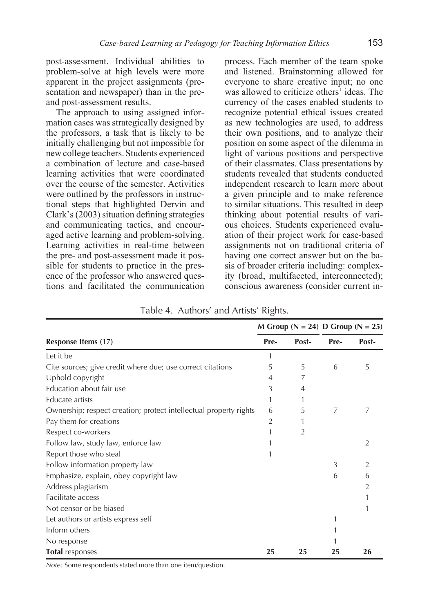post-assessment. Individual abilities to problem-solve at high levels were more apparent in the project assignments (presentation and newspaper) than in the preand post-assessment results.

The approach to using assigned information cases was strategically designed by the professors, a task that is likely to be initially challenging but not impossible for new college teachers. Students experienced a combination of lecture and case-based learning activities that were coordinated over the course of the semester. Activities were outlined by the professors in instructional steps that highlighted Dervin and Clark's (2003) situation defining strategies and communicating tactics, and encouraged active learning and problem-solving. Learning activities in real-time between the pre- and post-assessment made it possible for students to practice in the presence of the professor who answered questions and facilitated the communication

process. Each member of the team spoke and listened. Brainstorming allowed for everyone to share creative input; no one was allowed to criticize others' ideas. The currency of the cases enabled students to recognize potential ethical issues created as new technologies are used, to address their own positions, and to analyze their position on some aspect of the dilemma in light of various positions and perspective of their classmates. Class presentations by students revealed that students conducted independent research to learn more about a given principle and to make reference to similar situations. This resulted in deep thinking about potential results of various choices. Students experienced evaluation of their project work for case-based assignments not on traditional criteria of having one correct answer but on the basis of broader criteria including: complexity (broad, multifaceted, interconnected); conscious awareness (consider current in-

|                                                                   |      | M Group ( $N = 24$ ) D Group ( $N = 25$ ) |      |       |
|-------------------------------------------------------------------|------|-------------------------------------------|------|-------|
| Response Items (17)                                               | Pre- | Post-                                     | Pre- | Post- |
| Let it be                                                         | 1    |                                           |      |       |
| Cite sources; give credit where due; use correct citations        | 5    | 5                                         | 6    | 5     |
| Uphold copyright                                                  | 4    | 7                                         |      |       |
| Education about fair use                                          | 3    | 4                                         |      |       |
| Educate artists                                                   | 1    |                                           |      |       |
| Ownership; respect creation; protect intellectual property rights | 6    | 5                                         | 7    | 7     |
| Pay them for creations                                            | 2    |                                           |      |       |
| Respect co-workers                                                |      | $\overline{2}$                            |      |       |
| Follow law, study law, enforce law                                |      |                                           |      | 2     |
| Report those who steal                                            |      |                                           |      |       |
| Follow information property law                                   |      |                                           | 3    | 2     |
| Emphasize, explain, obey copyright law                            |      |                                           | 6    | 6     |
| Address plagiarism                                                |      |                                           |      | 2     |
| Facilitate access                                                 |      |                                           |      |       |
| Not censor or be biased                                           |      |                                           |      |       |
| Let authors or artists express self                               |      |                                           | 1    |       |
| Inform others                                                     |      |                                           |      |       |
| No response                                                       |      |                                           |      |       |
| Total responses                                                   | 25   | 25                                        | 25   | 26    |

Table 4. Authors' and Artists' Rights.

*Note:* Some respondents stated more than one item/question.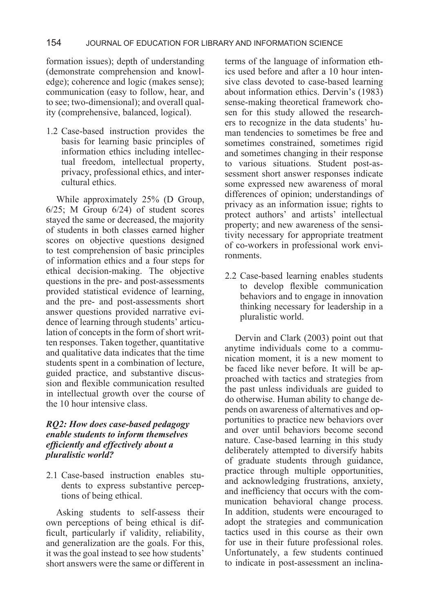### 154 JOURNAL OF EDUCATION FOR LIBRARY AND INFORMATION SCIENCE

formation issues); depth of understanding (demonstrate comprehension and knowledge); coherence and logic (makes sense); communication (easy to follow, hear, and to see; two-dimensional); and overall quality (comprehensive, balanced, logical).

1.2 Case-based instruction provides the basis for learning basic principles of information ethics including intellectual freedom, intellectual property, privacy, professional ethics, and intercultural ethics.

While approximately 25% (D Group, 6/25; M Group 6/24) of student scores stayed the same or decreased, the majority of students in both classes earned higher scores on objective questions designed to test comprehension of basic principles of information ethics and a four steps for ethical decision-making. The objective questions in the pre- and post-assessments provided statistical evidence of learning, and the pre- and post-assessments short answer questions provided narrative evidence of learning through students' articulation of concepts in the form of short written responses. Taken together, quantitative and qualitative data indicates that the time students spent in a combination of lecture, guided practice, and substantive discussion and flexible communication resulted in intellectual growth over the course of the 10 hour intensive class.

### *RQ2: How does case-based pedagogy enable students to inform themselves efficiently and effectively about a pluralistic world?*

2.1 Case-based instruction enables students to express substantive perceptions of being ethical.

Asking students to self-assess their own perceptions of being ethical is difficult, particularly if validity, reliability, and generalization are the goals. For this, it was the goal instead to see how students' short answers were the same or different in terms of the language of information ethics used before and after a 10 hour intensive class devoted to case-based learning about information ethics. Dervin's (1983) sense-making theoretical framework chosen for this study allowed the researchers to recognize in the data students' human tendencies to sometimes be free and sometimes constrained, sometimes rigid and sometimes changing in their response to various situations. Student post-assessment short answer responses indicate some expressed new awareness of moral differences of opinion; understandings of privacy as an information issue; rights to protect authors' and artists' intellectual property; and new awareness of the sensitivity necessary for appropriate treatment of co-workers in professional work environments.

2.2 Case-based learning enables students to develop flexible communication behaviors and to engage in innovation thinking necessary for leadership in a pluralistic world.

Dervin and Clark (2003) point out that anytime individuals come to a communication moment, it is a new moment to be faced like never before. It will be approached with tactics and strategies from the past unless individuals are guided to do otherwise. Human ability to change depends on awareness of alternatives and opportunities to practice new behaviors over and over until behaviors become second nature. Case-based learning in this study deliberately attempted to diversify habits of graduate students through guidance, practice through multiple opportunities, and acknowledging frustrations, anxiety, and inefficiency that occurs with the communication behavioral change process. In addition, students were encouraged to adopt the strategies and communication tactics used in this course as their own for use in their future professional roles. Unfortunately, a few students continued to indicate in post-assessment an inclina-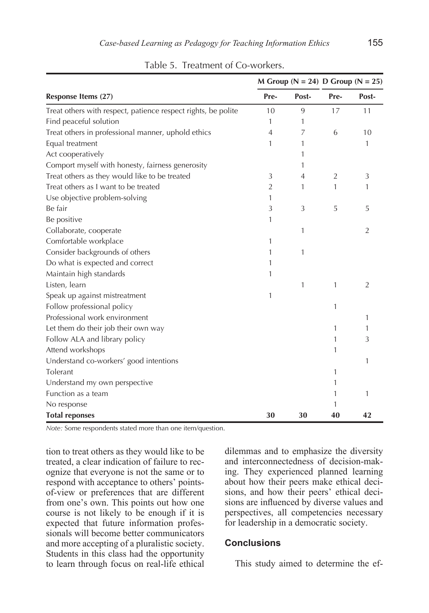|                                                               |                |                | M Group ( $N = 24$ ) D Group ( $N = 25$ ) |       |
|---------------------------------------------------------------|----------------|----------------|-------------------------------------------|-------|
| Response Items (27)                                           | Pre-           | Post-          | Pre-                                      | Post- |
| Treat others with respect, patience respect rights, be polite | 10             | 9              | 17                                        | 11    |
| Find peaceful solution                                        | 1              | 1              |                                           |       |
| Treat others in professional manner, uphold ethics            | $\overline{4}$ | 7              | 6                                         | 10    |
| Equal treatment                                               | 1              | 1              |                                           | 1     |
| Act cooperatively                                             |                | 1              |                                           |       |
| Comport myself with honesty, fairness generosity              |                | 1              |                                           |       |
| Treat others as they would like to be treated                 | 3              | $\overline{4}$ | $\overline{2}$                            | 3     |
| Treat others as I want to be treated                          | $\overline{2}$ | 1              | 1                                         | 1     |
| Use objective problem-solving                                 | 1              |                |                                           |       |
| Be fair                                                       | 3              | 3              | 5                                         | 5     |
| Be positive                                                   | 1              |                |                                           |       |
| Collaborate, cooperate                                        |                | 1              |                                           | 2     |
| Comfortable workplace                                         | 1              |                |                                           |       |
| Consider backgrounds of others                                | 1              | 1              |                                           |       |
| Do what is expected and correct                               | 1              |                |                                           |       |
| Maintain high standards                                       | 1              |                |                                           |       |
| Listen, learn                                                 |                | 1              | 1                                         | 2     |
| Speak up against mistreatment                                 | 1              |                |                                           |       |
| Follow professional policy                                    |                |                | 1                                         |       |
| Professional work environment                                 |                |                |                                           | 1     |
| Let them do their job their own way                           |                |                | 1                                         | 1     |
| Follow ALA and library policy                                 |                |                | 1                                         | 3     |
| Attend workshops                                              |                |                | 1                                         |       |
| Understand co-workers' good intentions                        |                |                |                                           | 1     |
| Tolerant                                                      |                |                | 1                                         |       |
| Understand my own perspective                                 |                |                | 1                                         |       |
| Function as a team                                            |                |                | 1                                         | 1     |
| No response                                                   |                |                | 1                                         |       |
| <b>Total reponses</b>                                         | 30             | 30             | 40                                        | 42    |

Table 5. Treatment of Co-workers.

*Note:* Some respondents stated more than one item/question.

tion to treat others as they would like to be treated, a clear indication of failure to recognize that everyone is not the same or to respond with acceptance to others' pointsof-view or preferences that are different from one's own. This points out how one course is not likely to be enough if it is expected that future information professionals will become better communicators and more accepting of a pluralistic society. Students in this class had the opportunity to learn through focus on real-life ethical

dilemmas and to emphasize the diversity and interconnectedness of decision-making. They experienced planned learning about how their peers make ethical decisions, and how their peers' ethical decisions are influenced by diverse values and perspectives, all competencies necessary for leadership in a democratic society.

### **Conclusions**

This study aimed to determine the ef-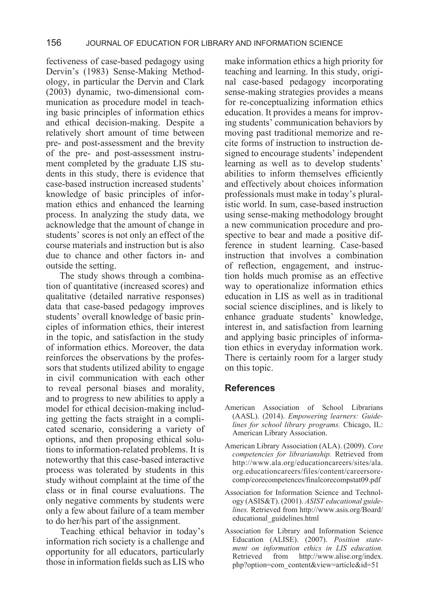fectiveness of case-based pedagogy using Dervin's (1983) Sense-Making Methodology, in particular the Dervin and Clark (2003) dynamic, two-dimensional communication as procedure model in teaching basic principles of information ethics and ethical decision-making. Despite a relatively short amount of time between pre- and post-assessment and the brevity of the pre- and post-assessment instrument completed by the graduate LIS students in this study, there is evidence that case-based instruction increased students' knowledge of basic principles of information ethics and enhanced the learning process. In analyzing the study data, we acknowledge that the amount of change in students' scores is not only an effect of the course materials and instruction but is also due to chance and other factors in- and outside the setting.

 The study shows through a combination of quantitative (increased scores) and qualitative (detailed narrative responses) data that case-based pedagogy improves students' overall knowledge of basic principles of information ethics, their interest in the topic, and satisfaction in the study of information ethics. Moreover, the data reinforces the observations by the professors that students utilized ability to engage in civil communication with each other to reveal personal biases and morality, and to progress to new abilities to apply a model for ethical decision-making including getting the facts straight in a complicated scenario, considering a variety of options, and then proposing ethical solutions to information-related problems. It is noteworthy that this case-based interactive process was tolerated by students in this study without complaint at the time of the class or in final course evaluations. The only negative comments by students were only a few about failure of a team member to do her/his part of the assignment.

 Teaching ethical behavior in today's information rich society is a challenge and opportunity for all educators, particularly those in information fields such as LIS who make information ethics a high priority for teaching and learning. In this study, original case-based pedagogy incorporating sense-making strategies provides a means for re-conceptualizing information ethics education. It provides a means for improving students' communication behaviors by moving past traditional memorize and recite forms of instruction to instruction designed to encourage students' independent learning as well as to develop students' abilities to inform themselves efficiently and effectively about choices information professionals must make in today's pluralistic world. In sum, case-based instruction using sense-making methodology brought a new communication procedure and prospective to bear and made a positive difference in student learning. Case-based instruction that involves a combination of reflection, engagement, and instruction holds much promise as an effective way to operationalize information ethics education in LIS as well as in traditional social science disciplines, and is likely to enhance graduate students' knowledge, interest in, and satisfaction from learning and applying basic principles of information ethics in everyday information work. There is certainly room for a larger study on this topic.

### **References**

- American Association of School Librarians (AASL). (2014). *Empowering learners: Guidelines for school library programs.* Chicago, IL: American Library Association.
- American Library Association (ALA). (2009). *Core competencies for librarianship.* Retrieved from http://www.ala.org/educationcareers/sites/ala. org.educationcareers/files/content/careersorecomp/corecompetences/finalcorecompstat09.pdf
- Association for Information Science and Technology (ASIS&T). (2001). *ASIST educational guidelines.* Retrieved from http://www.asis.org/Board/ educational\_guidelines.html
- Association for Library and Information Science Education (ALISE). (2007). *Position statement on information ethics in LIS education.*  Retrieved from http://www.alise.org/index. php?option=com\_content&view=article&id=51